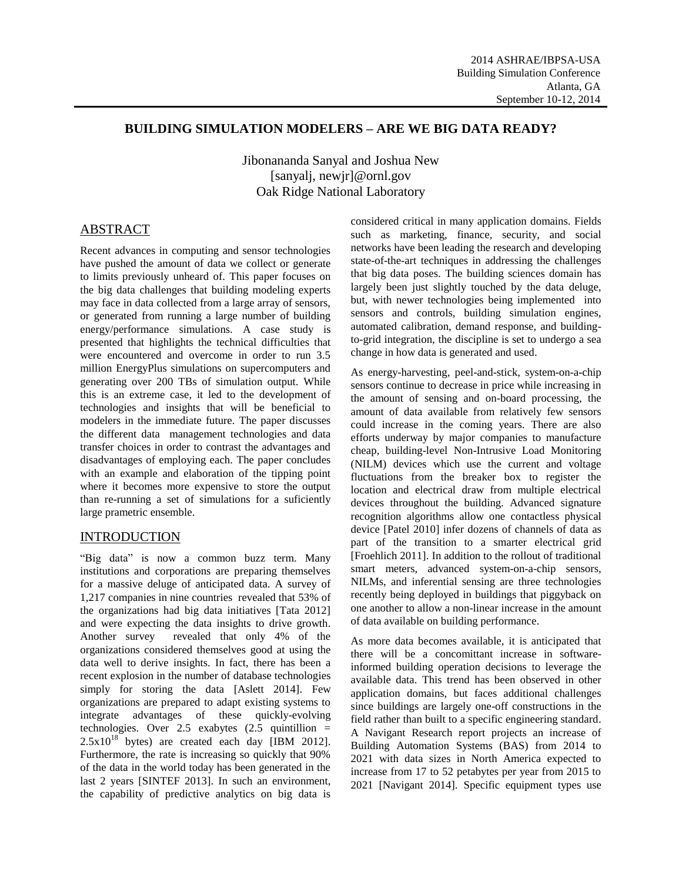## **BUILDING SIMULATION MODELERS – ARE WE BIG DATA READY?**

Jibonananda Sanyal and Joshua New [sanyalj, newjr]@ornl.gov Oak Ridge National Laboratory

# ABSTRACT

Recent advances in computing and sensor technologies have pushed the amount of data we collect or generate to limits previously unheard of. This paper focuses on the big data challenges that building modeling experts may face in data collected from a large array of sensors, or generated from running a large number of building energy/performance simulations. A case study is presented that highlights the technical difficulties that were encountered and overcome in order to run 3.5 million EnergyPlus simulations on supercomputers and generating over 200 TBs of simulation output. While this is an extreme case, it led to the development of technologies and insights that will be beneficial to modelers in the immediate future. The paper discusses the different data management technologies and data transfer choices in order to contrast the advantages and disadvantages of employing each. The paper concludes with an example and elaboration of the tipping point where it becomes more expensive to store the output than re-running a set of simulations for a suficiently large prametric ensemble.

# INTRODUCTION

"Big data" is now a common buzz term. Many institutions and corporations are preparing themselves for a massive deluge of anticipated data. A survey of 1,217 companies in nine countries revealed that 53% of the organizations had big data initiatives [Tata 2012] and were expecting the data insights to drive growth. Another survey revealed that only 4% of the organizations considered themselves good at using the data well to derive insights. In fact, there has been a recent explosion in the number of database technologies simply for storing the data [Aslett 2014]. Few organizations are prepared to adapt existing systems to integrate advantages of these quickly-evolving technologies. Over 2.5 exabytes  $(2.5 \text{ quintillion})$  $2.5x10^{18}$  bytes) are created each day [IBM 2012]. Furthermore, the rate is increasing so quickly that 90% of the data in the world today has been generated in the last 2 years [SINTEF 2013]. In such an environment, the capability of predictive analytics on big data is

considered critical in many application domains. Fields such as marketing, finance, security, and social networks have been leading the research and developing state-of-the-art techniques in addressing the challenges that big data poses. The building sciences domain has largely been just slightly touched by the data deluge, but, with newer technologies being implemented into sensors and controls, building simulation engines, automated calibration, demand response, and buildingto-grid integration, the discipline is set to undergo a sea change in how data is generated and used.

As energy-harvesting, peel-and-stick, system-on-a-chip sensors continue to decrease in price while increasing in the amount of sensing and on-board processing, the amount of data available from relatively few sensors could increase in the coming years. There are also efforts underway by major companies to manufacture cheap, building-level Non-Intrusive Load Monitoring (NILM) devices which use the current and voltage fluctuations from the breaker box to register the location and electrical draw from multiple electrical devices throughout the building. Advanced signature recognition algorithms allow one contactless physical device [Patel 2010] infer dozens of channels of data as part of the transition to a smarter electrical grid [Froehlich 2011]. In addition to the rollout of traditional smart meters, advanced system-on-a-chip sensors, NILMs, and inferential sensing are three technologies recently being deployed in buildings that piggyback on one another to allow a non-linear increase in the amount of data available on building performance.

As more data becomes available, it is anticipated that there will be a concomittant increase in softwareinformed building operation decisions to leverage the available data. This trend has been observed in other application domains, but faces additional challenges since buildings are largely one-off constructions in the field rather than built to a specific engineering standard. A Navigant Research report projects an increase of Building Automation Systems (BAS) from 2014 to 2021 with data sizes in North America expected to increase from 17 to 52 petabytes per year from 2015 to 2021 [Navigant 2014]. Specific equipment types use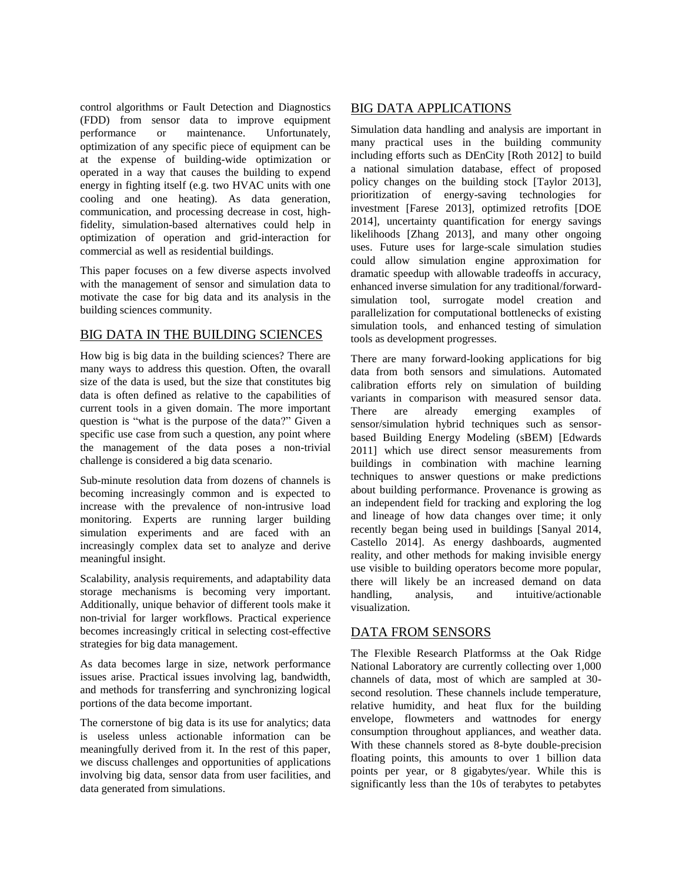control algorithms or Fault Detection and Diagnostics (FDD) from sensor data to improve equipment performance or maintenance. Unfortunately, optimization of any specific piece of equipment can be at the expense of building-wide optimization or operated in a way that causes the building to expend energy in fighting itself (e.g. two HVAC units with one cooling and one heating). As data generation, communication, and processing decrease in cost, highfidelity, simulation-based alternatives could help in optimization of operation and grid-interaction for commercial as well as residential buildings.

This paper focuses on a few diverse aspects involved with the management of sensor and simulation data to motivate the case for big data and its analysis in the building sciences community.

## BIG DATA IN THE BUILDING SCIENCES

How big is big data in the building sciences? There are many ways to address this question. Often, the ovarall size of the data is used, but the size that constitutes big data is often defined as relative to the capabilities of current tools in a given domain. The more important question is "what is the purpose of the data?" Given a specific use case from such a question, any point where the management of the data poses a non-trivial challenge is considered a big data scenario.

Sub-minute resolution data from dozens of channels is becoming increasingly common and is expected to increase with the prevalence of non-intrusive load monitoring. Experts are running larger building simulation experiments and are faced with an increasingly complex data set to analyze and derive meaningful insight.

Scalability, analysis requirements, and adaptability data storage mechanisms is becoming very important. Additionally, unique behavior of different tools make it non-trivial for larger workflows. Practical experience becomes increasingly critical in selecting cost-effective strategies for big data management.

As data becomes large in size, network performance issues arise. Practical issues involving lag, bandwidth, and methods for transferring and synchronizing logical portions of the data become important.

The cornerstone of big data is its use for analytics; data is useless unless actionable information can be meaningfully derived from it. In the rest of this paper, we discuss challenges and opportunities of applications involving big data, sensor data from user facilities, and data generated from simulations.

# BIG DATA APPLICATIONS

Simulation data handling and analysis are important in many practical uses in the building community including efforts such as DEnCity [Roth 2012] to build a national simulation database, effect of proposed policy changes on the building stock [Taylor 2013], prioritization of energy-saving technologies for investment [Farese 2013], optimized retrofits [DOE 2014], uncertainty quantification for energy savings likelihoods [Zhang 2013], and many other ongoing uses. Future uses for large-scale simulation studies could allow simulation engine approximation for dramatic speedup with allowable tradeoffs in accuracy, enhanced inverse simulation for any traditional/forwardsimulation tool, surrogate model creation and parallelization for computational bottlenecks of existing simulation tools, and enhanced testing of simulation tools as development progresses.

There are many forward-looking applications for big data from both sensors and simulations. Automated calibration efforts rely on simulation of building variants in comparison with measured sensor data. There are already emerging examples of sensor/simulation hybrid techniques such as sensorbased Building Energy Modeling (sBEM) [Edwards 2011] which use direct sensor measurements from buildings in combination with machine learning techniques to answer questions or make predictions about building performance. Provenance is growing as an independent field for tracking and exploring the log and lineage of how data changes over time; it only recently began being used in buildings [Sanyal 2014, Castello 2014]. As energy dashboards, augmented reality, and other methods for making invisible energy use visible to building operators become more popular, there will likely be an increased demand on data handling, analysis, and intuitive/actionable visualization.

## DATA FROM SENSORS

The Flexible Research Platformss at the Oak Ridge National Laboratory are currently collecting over 1,000 channels of data, most of which are sampled at 30 second resolution. These channels include temperature, relative humidity, and heat flux for the building envelope, flowmeters and wattnodes for energy consumption throughout appliances, and weather data. With these channels stored as 8-byte double-precision floating points, this amounts to over 1 billion data points per year, or 8 gigabytes/year. While this is significantly less than the 10s of terabytes to petabytes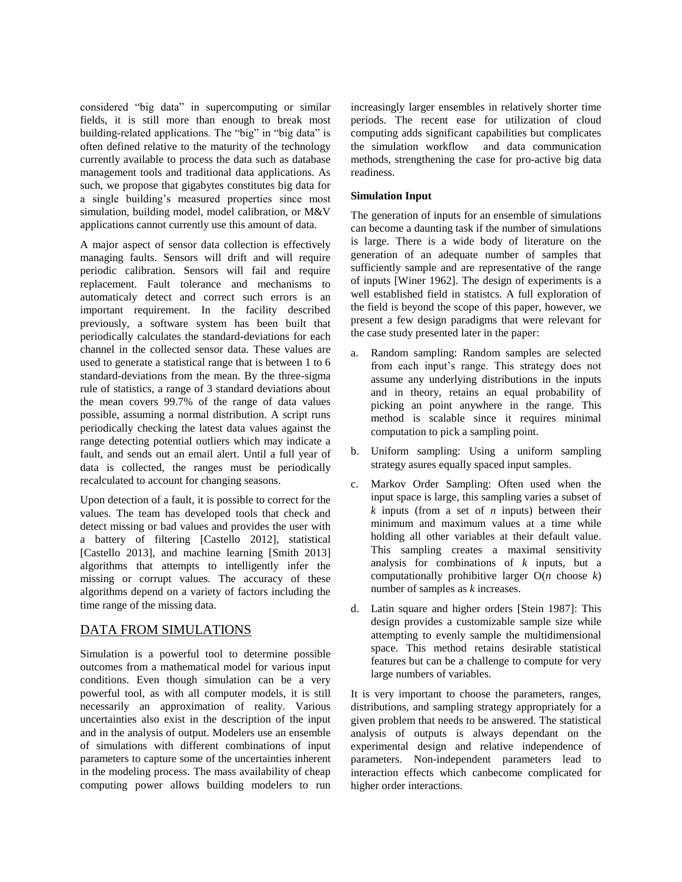considered "big data" in supercomputing or similar fields, it is still more than enough to break most building-related applications. The "big" in "big data" is often defined relative to the maturity of the technology currently available to process the data such as database management tools and traditional data applications. As such, we propose that gigabytes constitutes big data for a single building's measured properties since most simulation, building model, model calibration, or M&V applications cannot currently use this amount of data.

A major aspect of sensor data collection is effectively managing faults. Sensors will drift and will require periodic calibration. Sensors will fail and require replacement. Fault tolerance and mechanisms to automaticaly detect and correct such errors is an important requirement. In the facility described previously, a software system has been built that periodically calculates the standard-deviations for each channel in the collected sensor data. These values are used to generate a statistical range that is between 1 to 6 standard-deviations from the mean. By the three-sigma rule of statistics, a range of 3 standard deviations about the mean covers 99.7% of the range of data values possible, assuming a normal distribution. A script runs periodically checking the latest data values against the range detecting potential outliers which may indicate a fault, and sends out an email alert. Until a full year of data is collected, the ranges must be periodically recalculated to account for changing seasons.

Upon detection of a fault, it is possible to correct for the values. The team has developed tools that check and detect missing or bad values and provides the user with a battery of filtering [Castello 2012], statistical [Castello 2013], and machine learning [Smith 2013] algorithms that attempts to intelligently infer the missing or corrupt values. The accuracy of these algorithms depend on a variety of factors including the time range of the missing data.

## DATA FROM SIMULATIONS

Simulation is a powerful tool to determine possible outcomes from a mathematical model for various input conditions. Even though simulation can be a very powerful tool, as with all computer models, it is still necessarily an approximation of reality. Various uncertainties also exist in the description of the input and in the analysis of output. Modelers use an ensemble of simulations with different combinations of input parameters to capture some of the uncertainties inherent in the modeling process. The mass availability of cheap computing power allows building modelers to run

increasingly larger ensembles in relatively shorter time periods. The recent ease for utilization of cloud computing adds significant capabilities but complicates the simulation workflow and data communication methods, strengthening the case for pro-active big data readiness.

### **Simulation Input**

The generation of inputs for an ensemble of simulations can become a daunting task if the number of simulations is large. There is a wide body of literature on the generation of an adequate number of samples that sufficiently sample and are representative of the range of inputs [Winer 1962]. The design of experiments is a well established field in statistcs. A full exploration of the field is beyond the scope of this paper, however, we present a few design paradigms that were relevant for the case study presented later in the paper:

- a. Random sampling: Random samples are selected from each input's range. This strategy does not assume any underlying distributions in the inputs and in theory, retains an equal probability of picking an point anywhere in the range. This method is scalable since it requires minimal computation to pick a sampling point.
- b. Uniform sampling: Using a uniform sampling strategy asures equally spaced input samples.
- c. Markov Order Sampling: Often used when the input space is large, this sampling varies a subset of *k* inputs (from a set of *n* inputs) between their minimum and maximum values at a time while holding all other variables at their default value. This sampling creates a maximal sensitivity analysis for combinations of *k* inputs, but a computationally prohibitive larger O(*n* choose *k*) number of samples as *k* increases.
- d. Latin square and higher orders [Stein 1987]: This design provides a customizable sample size while attempting to evenly sample the multidimensional space. This method retains desirable statistical features but can be a challenge to compute for very large numbers of variables.

It is very important to choose the parameters, ranges, distributions, and sampling strategy appropriately for a given problem that needs to be answered. The statistical analysis of outputs is always dependant on the experimental design and relative independence of parameters. Non-independent parameters lead to interaction effects which canbecome complicated for higher order interactions.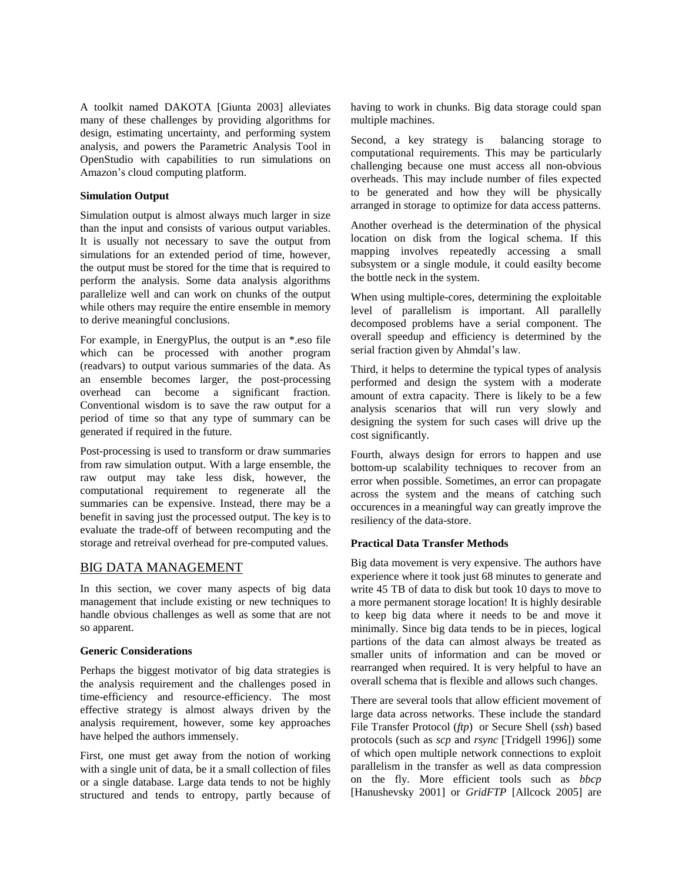A toolkit named DAKOTA [Giunta 2003] alleviates many of these challenges by providing algorithms for design, estimating uncertainty, and performing system analysis, and powers the Parametric Analysis Tool in OpenStudio with capabilities to run simulations on Amazon's cloud computing platform.

### **Simulation Output**

Simulation output is almost always much larger in size than the input and consists of various output variables. It is usually not necessary to save the output from simulations for an extended period of time, however, the output must be stored for the time that is required to perform the analysis. Some data analysis algorithms parallelize well and can work on chunks of the output while others may require the entire ensemble in memory to derive meaningful conclusions.

For example, in EnergyPlus, the output is an \*.eso file which can be processed with another program (readvars) to output various summaries of the data. As an ensemble becomes larger, the post-processing overhead can become a significant fraction. Conventional wisdom is to save the raw output for a period of time so that any type of summary can be generated if required in the future.

Post-processing is used to transform or draw summaries from raw simulation output. With a large ensemble, the raw output may take less disk, however, the computational requirement to regenerate all the summaries can be expensive. Instead, there may be a benefit in saving just the processed output. The key is to evaluate the trade-off of between recomputing and the storage and retreival overhead for pre-computed values.

## BIG DATA MANAGEMENT

In this section, we cover many aspects of big data management that include existing or new techniques to handle obvious challenges as well as some that are not so apparent.

#### **Generic Considerations**

Perhaps the biggest motivator of big data strategies is the analysis requirement and the challenges posed in time-efficiency and resource-efficiency. The most effective strategy is almost always driven by the analysis requirement, however, some key approaches have helped the authors immensely.

First, one must get away from the notion of working with a single unit of data, be it a small collection of files or a single database. Large data tends to not be highly structured and tends to entropy, partly because of having to work in chunks. Big data storage could span multiple machines.

Second, a key strategy is balancing storage to computational requirements. This may be particularly challenging because one must access all non-obvious overheads. This may include number of files expected to be generated and how they will be physically arranged in storage to optimize for data access patterns.

Another overhead is the determination of the physical location on disk from the logical schema. If this mapping involves repeatedly accessing a small subsystem or a single module, it could easilty become the bottle neck in the system.

When using multiple-cores, determining the exploitable level of parallelism is important. All parallelly decomposed problems have a serial component. The overall speedup and efficiency is determined by the serial fraction given by Ahmdal's law.

Third, it helps to determine the typical types of analysis performed and design the system with a moderate amount of extra capacity. There is likely to be a few analysis scenarios that will run very slowly and designing the system for such cases will drive up the cost significantly.

Fourth, always design for errors to happen and use bottom-up scalability techniques to recover from an error when possible. Sometimes, an error can propagate across the system and the means of catching such occurences in a meaningful way can greatly improve the resiliency of the data-store.

### **Practical Data Transfer Methods**

Big data movement is very expensive. The authors have experience where it took just 68 minutes to generate and write 45 TB of data to disk but took 10 days to move to a more permanent storage location! It is highly desirable to keep big data where it needs to be and move it minimally. Since big data tends to be in pieces, logical partions of the data can almost always be treated as smaller units of information and can be moved or rearranged when required. It is very helpful to have an overall schema that is flexible and allows such changes.

There are several tools that allow efficient movement of large data across networks. These include the standard File Transfer Protocol (*ftp*) or Secure Shell (*ssh*) based protocols (such as *scp* and *rsync* [Tridgell 1996]) some of which open multiple network connections to exploit parallelism in the transfer as well as data compression on the fly. More efficient tools such as *bbcp* [Hanushevsky 2001] or *GridFTP* [Allcock 2005] are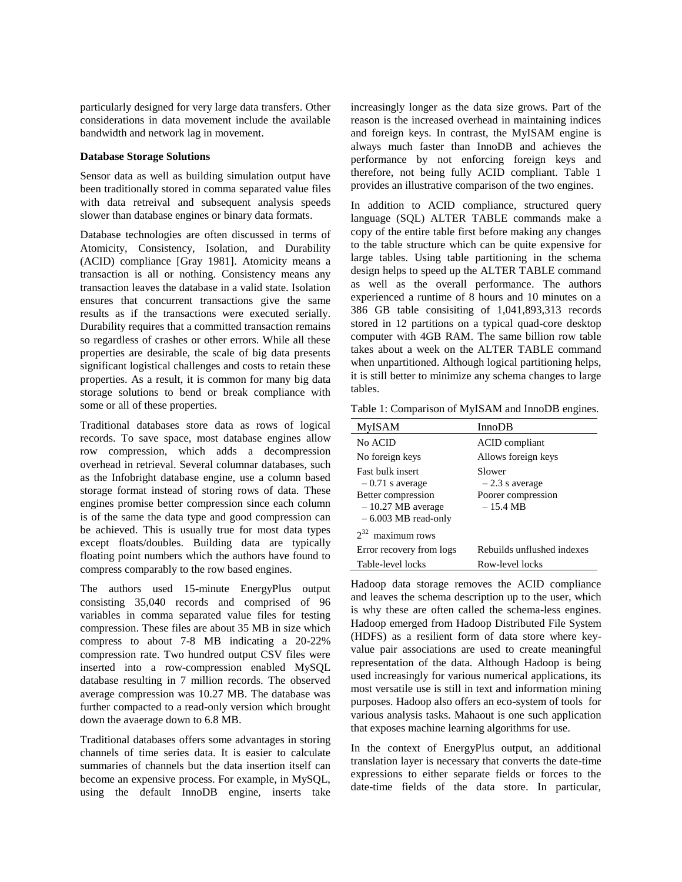particularly designed for very large data transfers. Other considerations in data movement include the available bandwidth and network lag in movement.

#### **Database Storage Solutions**

Sensor data as well as building simulation output have been traditionally stored in comma separated value files with data retreival and subsequent analysis speeds slower than database engines or binary data formats.

Database technologies are often discussed in terms of Atomicity, Consistency, Isolation, and Durability (ACID) compliance [Gray 1981]. Atomicity means a transaction is all or nothing. Consistency means any transaction leaves the database in a valid state. Isolation ensures that concurrent transactions give the same results as if the transactions were executed serially. Durability requires that a committed transaction remains so regardless of crashes or other errors. While all these properties are desirable, the scale of big data presents significant logistical challenges and costs to retain these properties. As a result, it is common for many big data storage solutions to bend or break compliance with some or all of these properties.

Traditional databases store data as rows of logical records. To save space, most database engines allow row compression, which adds a decompression overhead in retrieval. Several columnar databases, such as the Infobright database engine, use a column based storage format instead of storing rows of data. These engines promise better compression since each column is of the same the data type and good compression can be achieved. This is usually true for most data types except floats/doubles. Building data are typically floating point numbers which the authors have found to compress comparably to the row based engines.

The authors used 15-minute EnergyPlus output consisting 35,040 records and comprised of 96 variables in comma separated value files for testing compression. These files are about 35 MB in size which compress to about 7-8 MB indicating a 20-22% compression rate. Two hundred output CSV files were inserted into a row-compression enabled MySQL database resulting in 7 million records. The observed average compression was 10.27 MB. The database was further compacted to a read-only version which brought down the avaerage down to 6.8 MB.

Traditional databases offers some advantages in storing channels of time series data. It is easier to calculate summaries of channels but the data insertion itself can become an expensive process. For example, in MySQL, using the default InnoDB engine, inserts take increasingly longer as the data size grows. Part of the reason is the increased overhead in maintaining indices and foreign keys. In contrast, the MyISAM engine is always much faster than InnoDB and achieves the performance by not enforcing foreign keys and therefore, not being fully ACID compliant. Table 1 provides an illustrative comparison of the two engines.

In addition to ACID compliance, structured query language (SQL) ALTER TABLE commands make a copy of the entire table first before making any changes to the table structure which can be quite expensive for large tables. Using table partitioning in the schema design helps to speed up the ALTER TABLE command as well as the overall performance. The authors experienced a runtime of 8 hours and 10 minutes on a 386 GB table consisiting of 1,041,893,313 records stored in 12 partitions on a typical quad-core desktop computer with 4GB RAM. The same billion row table takes about a week on the ALTER TABLE command when unpartitioned. Although logical partitioning helps, it is still better to minimize any schema changes to large tables.

Table 1: Comparison of MyISAM and InnoDB engines.

| <b>MyISAM</b>                                                                                                      | InnoDB                                                                 |  |
|--------------------------------------------------------------------------------------------------------------------|------------------------------------------------------------------------|--|
| No ACID                                                                                                            | ACID compliant                                                         |  |
| No foreign keys                                                                                                    | Allows foreign keys                                                    |  |
| <b>Fast bulk insert</b><br>$-0.71$ s average<br>Better compression<br>$-10.27$ MB average<br>$-6.003$ MB read-only | Slower<br>$-2.3$ s average<br>Poorer compression<br>$-15.4 \text{ MB}$ |  |
| $2^{32}$ maximum rows                                                                                              |                                                                        |  |
| Error recovery from logs                                                                                           | Rebuilds unflushed indexes                                             |  |
| Table-level locks                                                                                                  | Row-level locks                                                        |  |
|                                                                                                                    |                                                                        |  |

Hadoop data storage removes the ACID compliance and leaves the schema description up to the user, which is why these are often called the schema-less engines. Hadoop emerged from Hadoop Distributed File System (HDFS) as a resilient form of data store where keyvalue pair associations are used to create meaningful representation of the data. Although Hadoop is being used increasingly for various numerical applications, its most versatile use is still in text and information mining purposes. Hadoop also offers an eco-system of tools for various analysis tasks. Mahaout is one such application that exposes machine learning algorithms for use.

In the context of EnergyPlus output, an additional translation layer is necessary that converts the date-time expressions to either separate fields or forces to the date-time fields of the data store. In particular,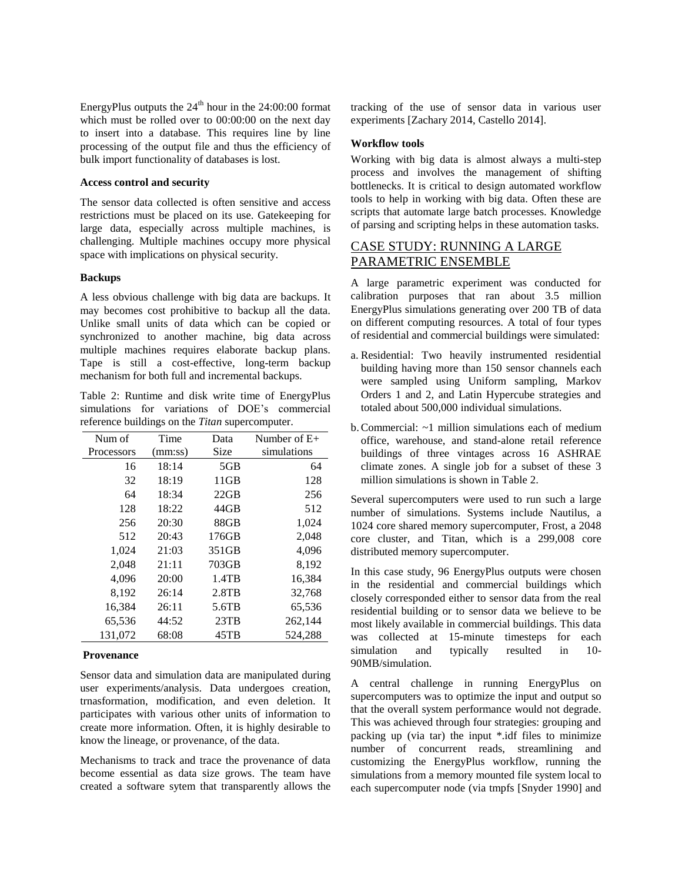EnergyPlus outputs the  $24<sup>th</sup>$  hour in the 24:00:00 format which must be rolled over to 00:00:00 on the next day to insert into a database. This requires line by line processing of the output file and thus the efficiency of bulk import functionality of databases is lost.

#### **Access control and security**

The sensor data collected is often sensitive and access restrictions must be placed on its use. Gatekeeping for large data, especially across multiple machines, is challenging. Multiple machines occupy more physical space with implications on physical security.

#### **Backups**

A less obvious challenge with big data are backups. It may becomes cost prohibitive to backup all the data. Unlike small units of data which can be copied or synchronized to another machine, big data across multiple machines requires elaborate backup plans. Tape is still a cost-effective, long-term backup mechanism for both full and incremental backups.

Table 2: Runtime and disk write time of EnergyPlus simulations for variations of DOE's commercial reference buildings on the *Titan* supercomputer.

| Num of     | Time    | Data     | Number of $E+$ |
|------------|---------|----------|----------------|
| Processors | (mm:ss) | Size     | simulations    |
| 16         | 18:14   | 5GB      | 64             |
| 32         | 18:19   | 11GB     | 128            |
| 64         | 18:34   | 22GB     | 256            |
| 128        | 18:22   | 44GB     | 512            |
| 256        | 20:30   | 88GB     | 1,024          |
| 512        | 20:43   | 176GB    | 2,048          |
| 1,024      | 21:03   | 351GB    | 4,096          |
| 2,048      | 21:11   | 703GB    | 8,192          |
| 4,096      | 20:00   | 1.4TB    | 16,384         |
| 8,192      | 26:14   | $2.8$ TB | 32,768         |
| 16,384     | 26:11   | 5.6TB    | 65,536         |
| 65,536     | 44:52   | 23TB     | 262,144        |
| 131,072    | 68:08   | 45TB     | 524,288        |

#### **Provenance**

Sensor data and simulation data are manipulated during user experiments/analysis. Data undergoes creation, trnasformation, modification, and even deletion. It participates with various other units of information to create more information. Often, it is highly desirable to know the lineage, or provenance, of the data.

Mechanisms to track and trace the provenance of data become essential as data size grows. The team have created a software sytem that transparently allows the tracking of the use of sensor data in various user experiments [Zachary 2014, Castello 2014].

#### **Workflow tools**

Working with big data is almost always a multi-step process and involves the management of shifting bottlenecks. It is critical to design automated workflow tools to help in working with big data. Often these are scripts that automate large batch processes. Knowledge of parsing and scripting helps in these automation tasks.

# CASE STUDY: RUNNING A LARGE PARAMETRIC ENSEMBLE

A large parametric experiment was conducted for calibration purposes that ran about 3.5 million EnergyPlus simulations generating over 200 TB of data on different computing resources. A total of four types of residential and commercial buildings were simulated:

- a. Residential: Two heavily instrumented residential building having more than 150 sensor channels each were sampled using Uniform sampling, Markov Orders 1 and 2, and Latin Hypercube strategies and totaled about 500,000 individual simulations.
- b.Commercial: ~1 million simulations each of medium office, warehouse, and stand-alone retail reference buildings of three vintages across 16 ASHRAE climate zones. A single job for a subset of these 3 million simulations is shown in Table 2.

Several supercomputers were used to run such a large number of simulations. Systems include Nautilus, a 1024 core shared memory supercomputer, Frost, a 2048 core cluster, and Titan, which is a 299,008 core distributed memory supercomputer.

In this case study, 96 EnergyPlus outputs were chosen in the residential and commercial buildings which closely corresponded either to sensor data from the real residential building or to sensor data we believe to be most likely available in commercial buildings. This data was collected at 15-minute timesteps for each simulation and typically resulted in 10- 90MB/simulation.

A central challenge in running EnergyPlus on supercomputers was to optimize the input and output so that the overall system performance would not degrade. This was achieved through four strategies: grouping and packing up (via tar) the input \*.idf files to minimize number of concurrent reads, streamlining and customizing the EnergyPlus workflow, running the simulations from a memory mounted file system local to each supercomputer node (via tmpfs [Snyder 1990] and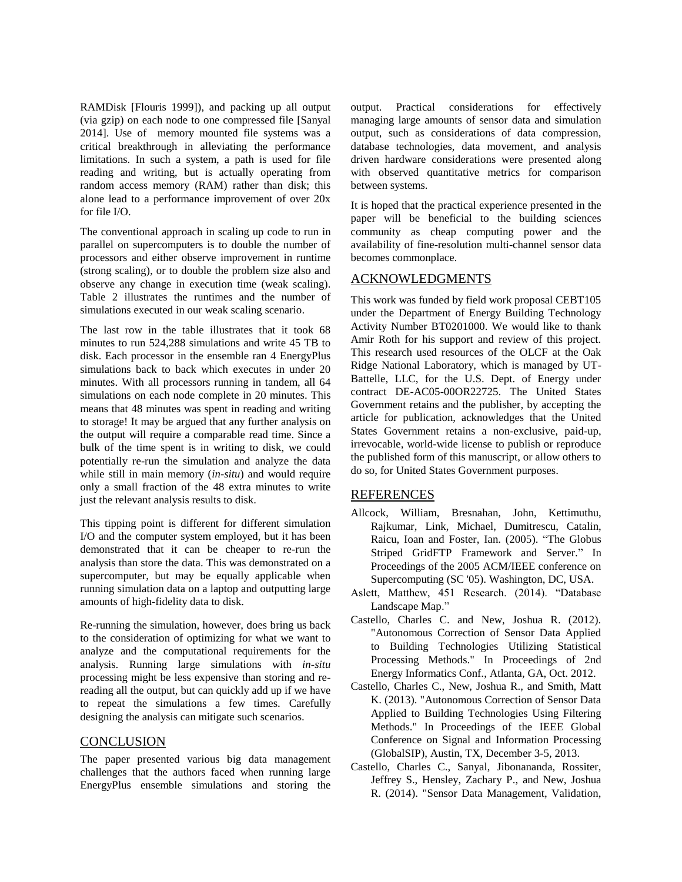RAMDisk [Flouris 1999]), and packing up all output (via gzip) on each node to one compressed file [Sanyal 2014]. Use of memory mounted file systems was a critical breakthrough in alleviating the performance limitations. In such a system, a path is used for file reading and writing, but is actually operating from random access memory (RAM) rather than disk; this alone lead to a performance improvement of over 20x for file I/O.

The conventional approach in scaling up code to run in parallel on supercomputers is to double the number of processors and either observe improvement in runtime (strong scaling), or to double the problem size also and observe any change in execution time (weak scaling). Table 2 illustrates the runtimes and the number of simulations executed in our weak scaling scenario.

The last row in the table illustrates that it took 68 minutes to run 524,288 simulations and write 45 TB to disk. Each processor in the ensemble ran 4 EnergyPlus simulations back to back which executes in under 20 minutes. With all processors running in tandem, all 64 simulations on each node complete in 20 minutes. This means that 48 minutes was spent in reading and writing to storage! It may be argued that any further analysis on the output will require a comparable read time. Since a bulk of the time spent is in writing to disk, we could potentially re-run the simulation and analyze the data while still in main memory (*in-situ*) and would require only a small fraction of the 48 extra minutes to write just the relevant analysis results to disk.

This tipping point is different for different simulation I/O and the computer system employed, but it has been demonstrated that it can be cheaper to re-run the analysis than store the data. This was demonstrated on a supercomputer, but may be equally applicable when running simulation data on a laptop and outputting large amounts of high-fidelity data to disk.

Re-running the simulation, however, does bring us back to the consideration of optimizing for what we want to analyze and the computational requirements for the analysis. Running large simulations with *in-situ* processing might be less expensive than storing and rereading all the output, but can quickly add up if we have to repeat the simulations a few times. Carefully designing the analysis can mitigate such scenarios.

### **CONCLUSION**

The paper presented various big data management challenges that the authors faced when running large EnergyPlus ensemble simulations and storing the output. Practical considerations for effectively managing large amounts of sensor data and simulation output, such as considerations of data compression, database technologies, data movement, and analysis driven hardware considerations were presented along with observed quantitative metrics for comparison between systems.

It is hoped that the practical experience presented in the paper will be beneficial to the building sciences community as cheap computing power and the availability of fine-resolution multi-channel sensor data becomes commonplace.

## ACKNOWLEDGMENTS

This work was funded by field work proposal CEBT105 under the Department of Energy Building Technology Activity Number BT0201000. We would like to thank Amir Roth for his support and review of this project. This research used resources of the OLCF at the Oak Ridge National Laboratory, which is managed by UT-Battelle, LLC, for the U.S. Dept. of Energy under contract DE-AC05-00OR22725. The United States Government retains and the publisher, by accepting the article for publication, acknowledges that the United States Government retains a non-exclusive, paid-up, irrevocable, world-wide license to publish or reproduce the published form of this manuscript, or allow others to do so, for United States Government purposes.

### REFERENCES

- Allcock, William, Bresnahan, John, Kettimuthu, Rajkumar, Link, Michael, Dumitrescu, Catalin, Raicu, Ioan and Foster, Ian. (2005). "The Globus Striped GridFTP Framework and Server." In Proceedings of the 2005 ACM/IEEE conference on Supercomputing (SC '05). Washington, DC, USA.
- Aslett, Matthew, 451 Research. (2014). "Database Landscape Map."
- Castello, Charles C. and New, Joshua R. (2012). "Autonomous Correction of Sensor Data Applied to Building Technologies Utilizing Statistical Processing Methods." In Proceedings of 2nd Energy Informatics Conf., Atlanta, GA, Oct. 2012.
- Castello, Charles C., New, Joshua R., and Smith, Matt K. (2013). "Autonomous Correction of Sensor Data Applied to Building Technologies Using Filtering Methods." In Proceedings of the IEEE Global Conference on Signal and Information Processing (GlobalSIP), Austin, TX, December 3-5, 2013.
- Castello, Charles C., Sanyal, Jibonananda, Rossiter, Jeffrey S., Hensley, Zachary P., and New, Joshua R. (2014). "Sensor Data Management, Validation,